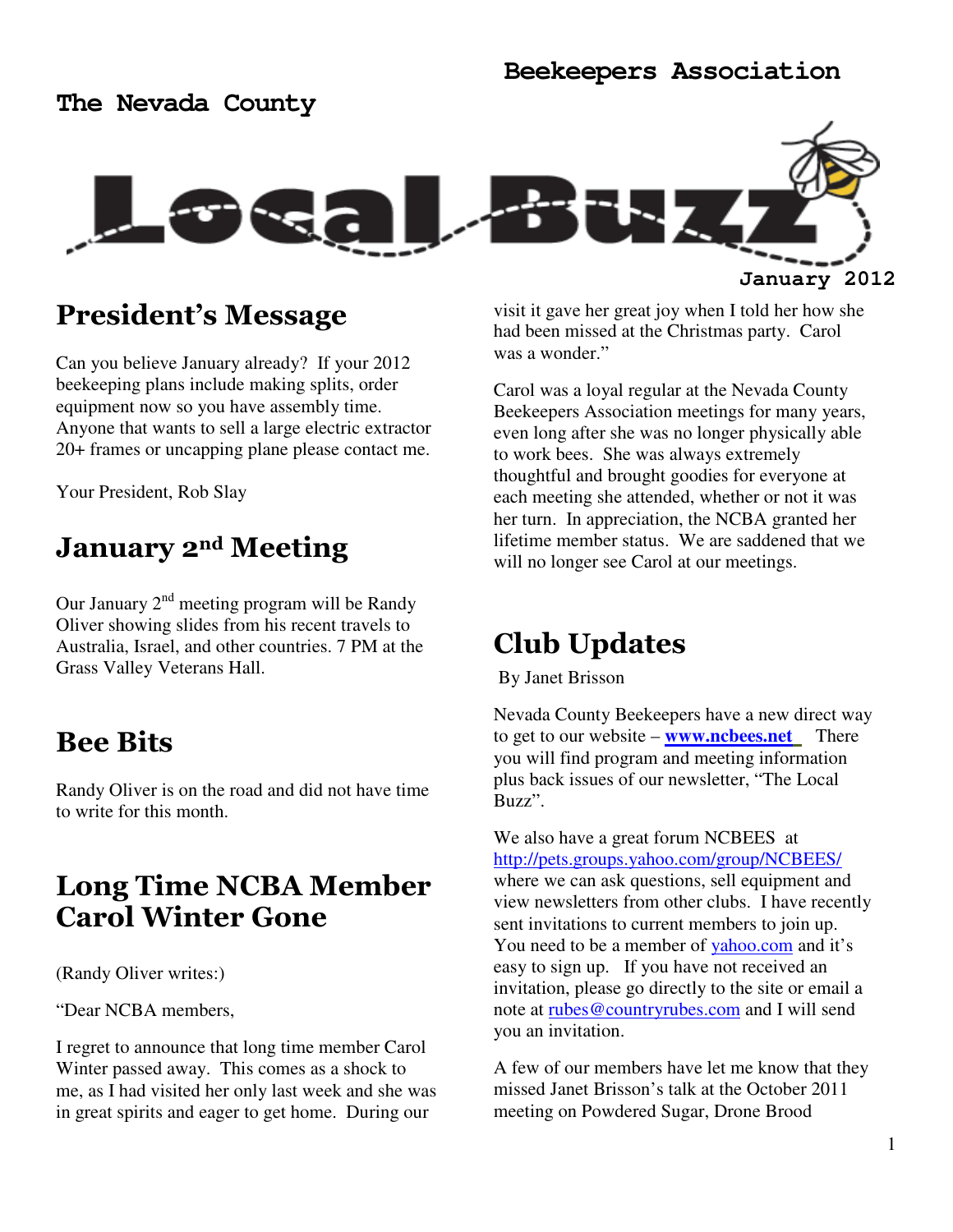### **The Nevada County**



### President's Message

Can you believe January already? If your 2012 beekeeping plans include making splits, order equipment now so you have assembly time. Anyone that wants to sell a large electric extractor 20+ frames or uncapping plane please contact me.

Your President, Rob Slay

## January 2<sup>nd</sup> Meeting

Our January  $2<sup>nd</sup>$  meeting program will be Randy Oliver showing slides from his recent travels to Australia, Israel, and other countries. 7 PM at the Grass Valley Veterans Hall.

### Bee Bits

Randy Oliver is on the road and did not have time to write for this month.

## Long Time NCBA Member Carol Winter Gone

(Randy Oliver writes:)

"Dear NCBA members,

I regret to announce that long time member Carol Winter passed away. This comes as a shock to me, as I had visited her only last week and she was in great spirits and eager to get home. During our

visit it gave her great joy when I told her how she had been missed at the Christmas party. Carol was a wonder."

Carol was a loyal regular at the Nevada County Beekeepers Association meetings for many years, even long after she was no longer physically able to work bees. She was always extremely thoughtful and brought goodies for everyone at each meeting she attended, whether or not it was her turn. In appreciation, the NCBA granted her lifetime member status. We are saddened that we will no longer see Carol at our meetings.

## Club Updates

By Janet Brisson

Nevada County Beekeepers have a new direct way to get to our website – **www.ncbees.net** There you will find program and meeting information plus back issues of our newsletter, "The Local Buzz".

We also have a great forum NCBEES at http://pets.groups.yahoo.com/group/NCBEES/ where we can ask questions, sell equipment and view newsletters from other clubs. I have recently sent invitations to current members to join up. You need to be a member of vahoo.com and it's easy to sign up. If you have not received an invitation, please go directly to the site or email a note at rubes@countryrubes.com and I will send you an invitation.

A few of our members have let me know that they missed Janet Brisson's talk at the October 2011 meeting on Powdered Sugar, Drone Brood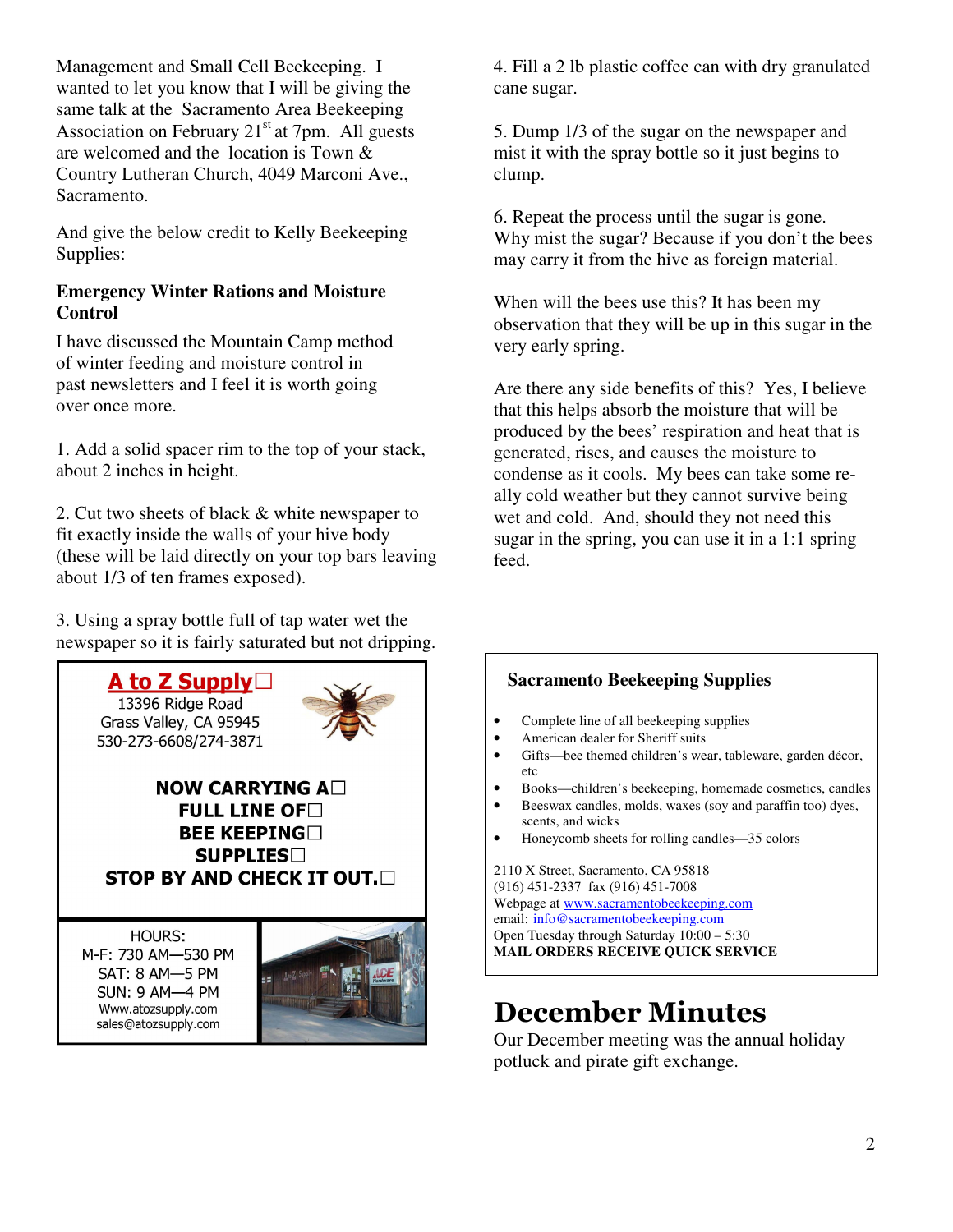Management and Small Cell Beekeeping. I wanted to let you know that I will be giving the same talk at the Sacramento Area Beekeeping Association on February  $21<sup>st</sup>$  at 7pm. All guests are welcomed and the location is Town & Country Lutheran Church, 4049 Marconi Ave., Sacramento.

And give the below credit to Kelly Beekeeping Supplies:

### **Emergency Winter Rations and Moisture Control**

I have discussed the Mountain Camp method of winter feeding and moisture control in past newsletters and I feel it is worth going over once more.

1. Add a solid spacer rim to the top of your stack, about 2 inches in height.

2. Cut two sheets of black & white newspaper to fit exactly inside the walls of your hive body (these will be laid directly on your top bars leaving about 1/3 of ten frames exposed).

3. Using a spray bottle full of tap water wet the newspaper so it is fairly saturated but not dripping.



4. Fill a 2 lb plastic coffee can with dry granulated cane sugar.

5. Dump 1/3 of the sugar on the newspaper and mist it with the spray bottle so it just begins to clump.

6. Repeat the process until the sugar is gone. Why mist the sugar? Because if you don't the bees may carry it from the hive as foreign material.

When will the bees use this? It has been my observation that they will be up in this sugar in the very early spring.

Are there any side benefits of this? Yes, I believe that this helps absorb the moisture that will be produced by the bees' respiration and heat that is generated, rises, and causes the moisture to condense as it cools. My bees can take some really cold weather but they cannot survive being wet and cold. And, should they not need this sugar in the spring, you can use it in a 1:1 spring feed.

### **Sacramento Beekeeping Supplies**

- Complete line of all beekeeping supplies
- American dealer for Sheriff suits
- Gifts—bee themed children's wear, tableware, garden décor, etc
- Books—children's beekeeping, homemade cosmetics, candles
- Beeswax candles, molds, waxes (soy and paraffin too) dyes, scents, and wicks
- Honeycomb sheets for rolling candles—35 colors

2110 X Street, Sacramento, CA 95818 (916) 451-2337 fax (916) 451-7008 Webpage at www.sacramentobeekeeping.com email: info@sacramentobeekeeping.com Open Tuesday through Saturday 10:00 – 5:30 **MAIL ORDERS RECEIVE QUICK SERVICE** 

# December Minutes

Our December meeting was the annual holiday potluck and pirate gift exchange.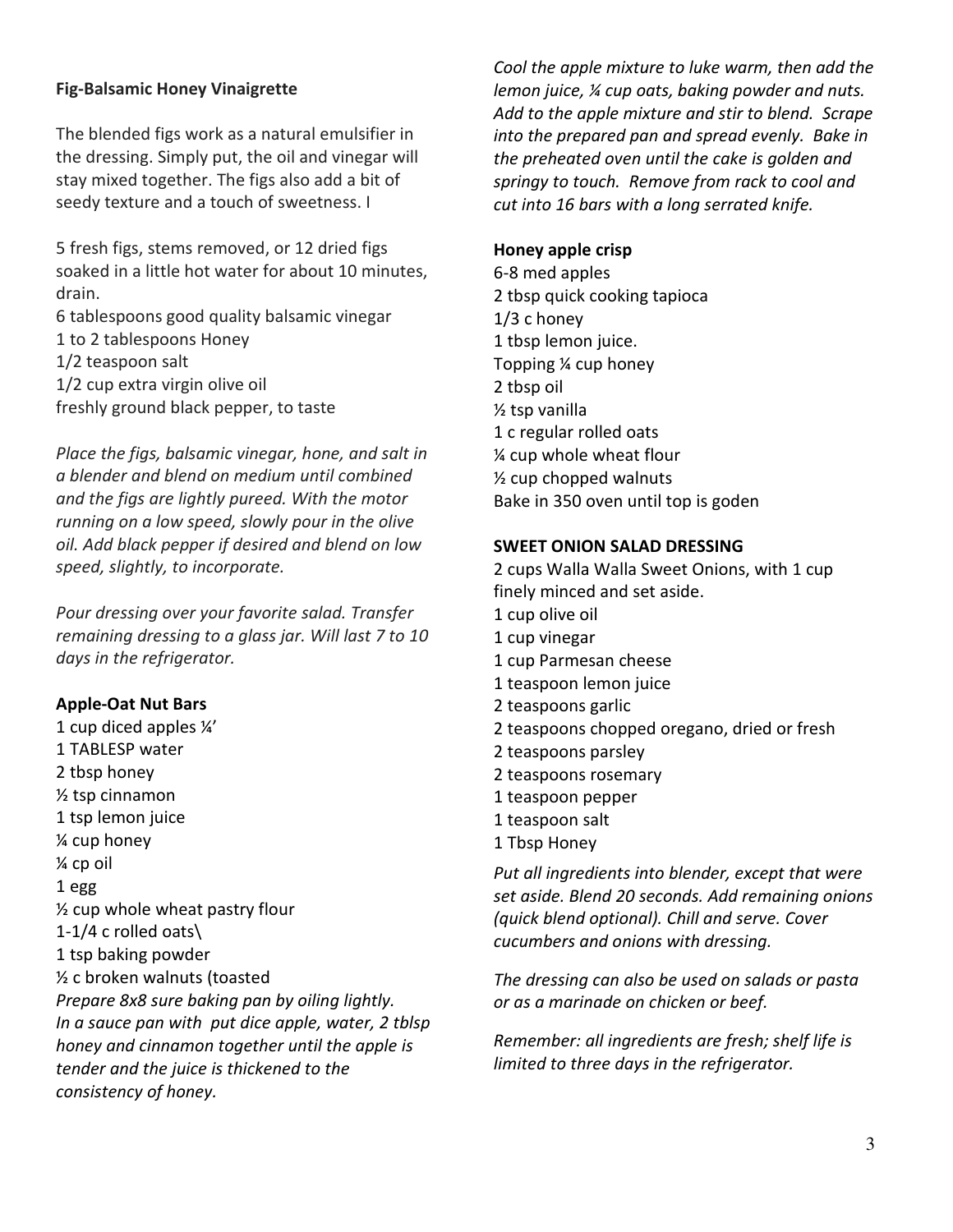#### Fig-Balsamic Honey Vinaigrette

The blended figs work as a natural emulsifier in the dressing. Simply put, the oil and vinegar will stay mixed together. The figs also add a bit of seedy texture and a touch of sweetness. I

5 fresh figs, stems removed, or 12 dried figs soaked in a little hot water for about 10 minutes, drain.

6 tablespoons good quality balsamic vinegar 1 to 2 tablespoons Honey 1/2 teaspoon salt 1/2 cup extra virgin olive oil freshly ground black pepper, to taste

Place the figs, balsamic vinegar, hone, and salt in a blender and blend on medium until combined and the figs are lightly pureed. With the motor running on a low speed, slowly pour in the olive oil. Add black pepper if desired and blend on low speed, slightly, to incorporate.

Pour dressing over your favorite salad. Transfer remaining dressing to a glass jar. Will last 7 to 10 days in the refrigerator.

#### Apple-Oat Nut Bars

1 cup diced apples ¼' 1 TABLESP water 2 tbsp honey ½ tsp cinnamon 1 tsp lemon juice ¼ cup honey ¼ cp oil 1 egg ½ cup whole wheat pastry flour 1-1/4 c rolled oats\ 1 tsp baking powder ½ c broken walnuts (toasted Prepare 8x8 sure baking pan by oiling lightly. In a sauce pan with put dice apple, water, 2 tblsp honey and cinnamon together until the apple is tender and the juice is thickened to the consistency of honey.

Cool the apple mixture to luke warm, then add the lemon juice, ¼ cup oats, baking powder and nuts. Add to the apple mixture and stir to blend. Scrape into the prepared pan and spread evenly. Bake in the preheated oven until the cake is golden and springy to touch. Remove from rack to cool and cut into 16 bars with a long serrated knife.

#### Honey apple crisp

6-8 med apples 2 tbsp quick cooking tapioca 1/3 c honey 1 tbsp lemon juice. Topping ¼ cup honey 2 tbsp oil ½ tsp vanilla 1 c regular rolled oats ¼ cup whole wheat flour ½ cup chopped walnuts Bake in 350 oven until top is goden

#### SWEET ONION SALAD DRESSING

2 cups Walla Walla Sweet Onions, with 1 cup finely minced and set aside. 1 cup olive oil 1 cup vinegar 1 cup Parmesan cheese 1 teaspoon lemon juice 2 teaspoons garlic 2 teaspoons chopped oregano, dried or fresh 2 teaspoons parsley 2 teaspoons rosemary 1 teaspoon pepper 1 teaspoon salt 1 Tbsp Honey

Put all ingredients into blender, except that were set aside. Blend 20 seconds. Add remaining onions (quick blend optional). Chill and serve. Cover cucumbers and onions with dressing.

The dressing can also be used on salads or pasta or as a marinade on chicken or beef.

Remember: all ingredients are fresh; shelf life is limited to three days in the refrigerator.